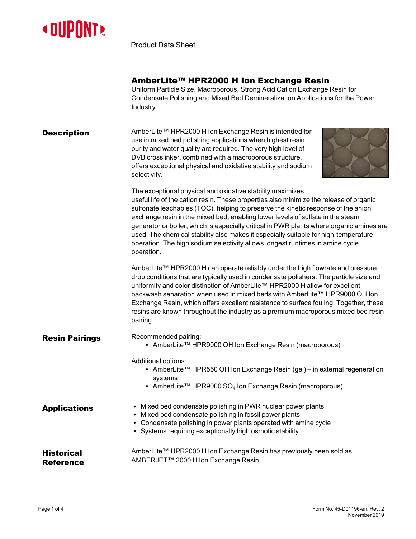

Product Data Sheet

|                                       | AmberLite™ HPR2000 H Ion Exchange Resin<br>Uniform Particle Size, Macroporous, Strong Acid Cation Exchange Resin for<br>Condensate Polishing and Mixed Bed Demineralization Applications for the Power<br>Industry                                                                                                                                                                                                                                                                                                                                                                                            |
|---------------------------------------|---------------------------------------------------------------------------------------------------------------------------------------------------------------------------------------------------------------------------------------------------------------------------------------------------------------------------------------------------------------------------------------------------------------------------------------------------------------------------------------------------------------------------------------------------------------------------------------------------------------|
| <b>Description</b>                    | AmberLite™ HPR2000 H Ion Exchange Resin is intended for<br>use in mixed bed polishing applications when highest resin<br>purity and water quality are required. The very high level of<br>DVB crosslinker, combined with a macroporous structure,<br>offers exceptional physical and oxidative stability and sodium<br>selectivity.                                                                                                                                                                                                                                                                           |
|                                       | The exceptional physical and oxidative stability maximizes<br>useful life of the cation resin. These properties also minimize the release of organic<br>sulfonate leachables (TOC), helping to preserve the kinetic response of the anion<br>exchange resin in the mixed bed, enabling lower levels of sulfate in the steam<br>generator or boiler, which is especially critical in PWR plants where organic amines are<br>used. The chemical stability also makes it especially suitable for high-temperature<br>operation. The high sodium selectivity allows longest runtimes in amine cycle<br>operation. |
|                                       | AmberLite™ HPR2000 H can operate reliably under the high flowrate and pressure<br>drop conditions that are typically used in condensate polishers. The particle size and<br>uniformity and color distinction of AmberLite™ HPR2000 H allow for excellent<br>backwash separation when used in mixed beds with AmberLite™ HPR9000 OH Ion<br>Exchange Resin, which offers excellent resistance to surface fouling. Together, these<br>resins are known throughout the industry as a premium macroporous mixed bed resin<br>pairing.                                                                              |
| <b>Resin Pairings</b>                 | Recommended pairing:<br>• AmberLite™ HPR9000 OH Ion Exchange Resin (macroporous)                                                                                                                                                                                                                                                                                                                                                                                                                                                                                                                              |
|                                       | Additional options:<br>• AmberLite™ HPR550 OH Ion Exchange Resin (gel) - in external regeneration<br>systems<br>• AmberLite <sup>TM</sup> HPR9000 SO <sub>4</sub> Ion Exchange Resin (macroporous)                                                                                                                                                                                                                                                                                                                                                                                                            |
| <b>Applications</b>                   | • Mixed bed condensate polishing in PWR nuclear power plants<br>• Mixed bed condensate polishing in fossil power plants<br>• Condensate polishing in power plants operated with amine cycle<br>• Systems requiring exceptionally high osmotic stability                                                                                                                                                                                                                                                                                                                                                       |
| <b>Historical</b><br><b>Reference</b> | AmberLite™ HPR2000 H Ion Exchange Resin has previously been sold as<br>AMBERJET™ 2000 H Ion Exchange Resin.                                                                                                                                                                                                                                                                                                                                                                                                                                                                                                   |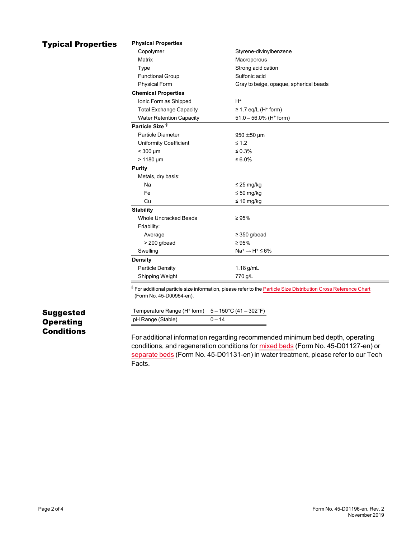## **Typical Properties**

| <b>Physical Properties</b>      |                                        |
|---------------------------------|----------------------------------------|
| Copolymer                       | Styrene-divinylbenzene                 |
| Matrix                          | Macroporous                            |
| Type                            | Strong acid cation                     |
| <b>Functional Group</b>         | Sulfonic acid                          |
| <b>Physical Form</b>            | Gray to beige, opaque, spherical beads |
| <b>Chemical Properties</b>      |                                        |
| Ionic Form as Shipped           | $H^*$                                  |
| <b>Total Exchange Capacity</b>  | $\geq$ 1.7 eq/L (H <sup>+</sup> form)  |
| <b>Water Retention Capacity</b> | $51.0 - 56.0\%$ (H <sup>+</sup> form)  |
| Particle Size <sup>§</sup>      |                                        |
| Particle Diameter               | $950 \pm 50$ µm                        |
| <b>Uniformity Coefficient</b>   | $\leq 1.2$                             |
| $<$ 300 $\mu$ m                 | ≤ 0.3%                                 |
| $> 1180 \mu m$                  | ≤ 6.0%                                 |
| <b>Purity</b>                   |                                        |
| Metals, dry basis:              |                                        |
| Na                              | $\leq$ 25 mg/kg                        |
| Fe                              | $\leq 50$ mg/kg                        |
| Cu                              | $\leq 10$ mg/kg                        |
| <b>Stability</b>                |                                        |
| <b>Whole Uncracked Beads</b>    | $\geq 95\%$                            |
| Friability:                     |                                        |
| Average                         | $\geq$ 350 g/bead                      |
| $>$ 200 g/bead                  | $\geq 95\%$                            |
| Swelling                        | $Na^+ \rightarrow H^+ \leq 6\%$        |
| <b>Density</b>                  |                                        |
| Particle Density                | $1.18$ g/mL                            |
| Shipping Weight                 | 770 g/L                                |

§ For additional particle size information, please refer to the **Particle Size [Distribution](https://www.dupont.com/content/dam/dupont/amer/us/en/water-solutions/public/documents/en/45-D00954-en.pdf) Cross Reference Chart** (Form No. 45-D00954-en).

| Temperature Range (H <sup>+</sup> form) $5-150^{\circ}$ C (41 – 302 $^{\circ}$ F) |          |
|-----------------------------------------------------------------------------------|----------|
| pH Range (Stable)                                                                 | $0 - 14$ |

## Suggested **Operating Conditions**

For additional information regarding recommended minimum bed depth, operating conditions, and regeneration conditions for [mixed](https://www.dupont.com/content/dam/dupont/amer/us/en/water-solutions/public/documents/en/45-D01127-en.pdf) beds (Form No. 45-D01127-en) or [separate](https://www.dupont.com/content/dam/dupont/amer/us/en/water-solutions/public/documents/en/45-D01131-en.pdf) beds (Form No. 45-D01131-en) in water treatment, please refer to our Tech Facts.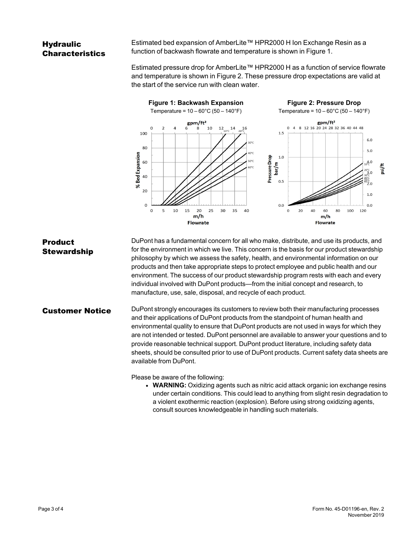## **Hydraulic** Characteristics

Estimated bed expansion of AmberLite™ HPR2000 H Ion Exchange Resin as a function of backwash flowrate and temperature is shown in [Figure 1.](#page-2-0)

<span id="page-2-1"></span>Estimated pressure drop for AmberLite™ HPR2000 H as a function of service flowrate and temperature is shown in [Figure 2](#page-2-1). These pressure drop expectations are valid at the start of the service run with clean water.

<span id="page-2-0"></span>

Product **Stewardship** DuPont has a fundamental concern for all who make, distribute, and use its products, and for the environment in which we live. This concern is the basis for our product stewardship philosophy by which we assess the safety, health, and environmental information on our products and then take appropriate steps to protect employee and public health and our environment. The success of our product stewardship program rests with each and every individual involved with DuPont products—from the initial concept and research, to manufacture, use, sale, disposal, and recycle of each product.

**Customer Notice** DuPont strongly encourages its customers to review both their manufacturing processes and their applications of DuPont products from the standpoint of human health and environmental quality to ensure that DuPont products are not used in ways for which they are not intended or tested. DuPont personnel are available to answer your questions and to provide reasonable technical support. DuPont product literature, including safety data sheets, should be consulted prior to use of DuPont products. Current safety data sheets are available from DuPont.

Please be aware of the following:

**• WARNING:** Oxidizing agents such as nitric acid attack organic ion exchange resins under certain conditions. This could lead to anything from slight resin degradation to a violent exothermic reaction (explosion). Before using strong oxidizing agents, consult sources knowledgeable in handling such materials.